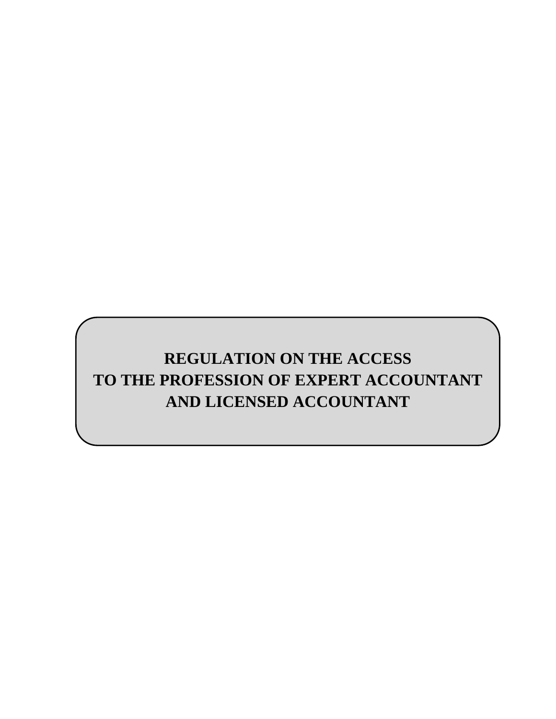# **REGULATION ON THE ACCESS TO THE PROFESSION OF EXPERT ACCOUNTANT AND LICENSED ACCOUNTANT**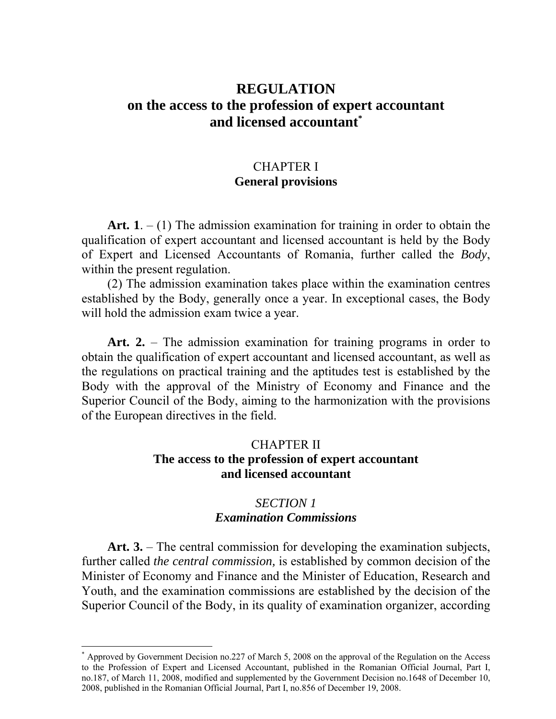# **REGULATION on the access to the profession of expert accountant and licensed accountant\***

# CHAPTER I **General provisions**

Art.  $1 - (1)$  The admission examination for training in order to obtain the qualification of expert accountant and licensed accountant is held by the Body of Expert and Licensed Accountants of Romania, further called the *Body*, within the present regulation.

(2) The admission examination takes place within the examination centres established by the Body, generally once a year. In exceptional cases, the Body will hold the admission exam twice a year.

Art. 2. – The admission examination for training programs in order to obtain the qualification of expert accountant and licensed accountant, as well as the regulations on practical training and the aptitudes test is established by the Body with the approval of the Ministry of Economy and Finance and the Superior Council of the Body, aiming to the harmonization with the provisions of the European directives in the field.

### CHAPTER II **The access to the profession of expert accountant and licensed accountant**

## *SECTION 1 Examination Commissions*

**Art. 3.** – The central commission for developing the examination subjects, further called *the central commission,* is established by common decision of the Minister of Economy and Finance and the Minister of Education, Research and Youth, and the examination commissions are established by the decision of the Superior Council of the Body, in its quality of examination organizer, according

 $\overline{a}$ 

<sup>\*</sup> Approved by Government Decision no.227 of March 5, 2008 on the approval of the Regulation on the Access to the Profession of Expert and Licensed Accountant, published in the Romanian Official Journal, Part I, no.187, of March 11, 2008, modified and supplemented by the Government Decision no.1648 of December 10, 2008, published in the Romanian Official Journal, Part I, no.856 of December 19, 2008.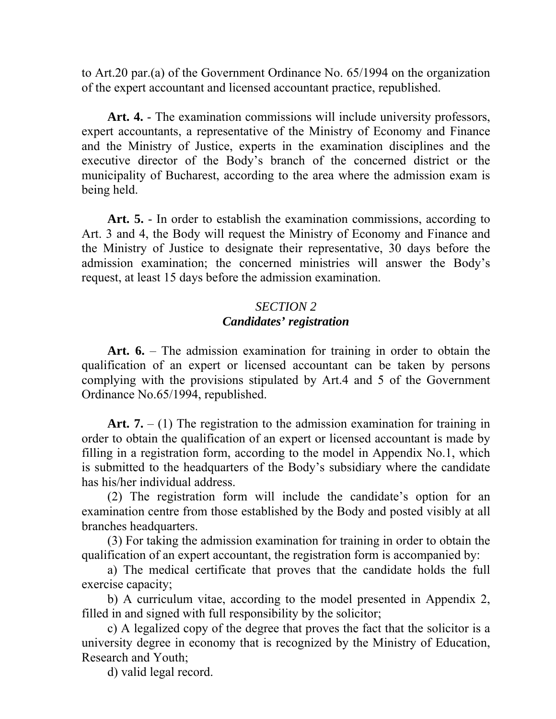to Art.20 par.(a) of the Government Ordinance No. 65/1994 on the organization of the expert accountant and licensed accountant practice, republished.

**Art. 4.** - The examination commissions will include university professors, expert accountants, a representative of the Ministry of Economy and Finance and the Ministry of Justice, experts in the examination disciplines and the executive director of the Body's branch of the concerned district or the municipality of Bucharest, according to the area where the admission exam is being held.

**Art. 5.** - In order to establish the examination commissions, according to Art. 3 and 4, the Body will request the Ministry of Economy and Finance and the Ministry of Justice to designate their representative, 30 days before the admission examination; the concerned ministries will answer the Body's request, at least 15 days before the admission examination.

### *SECTION 2 Candidates' registration*

**Art. 6.** – The admission examination for training in order to obtain the qualification of an expert or licensed accountant can be taken by persons complying with the provisions stipulated by Art.4 and 5 of the Government Ordinance No.65/1994, republished.

Art.  $7. - (1)$  The registration to the admission examination for training in order to obtain the qualification of an expert or licensed accountant is made by filling in a registration form, according to the model in Appendix No.1, which is submitted to the headquarters of the Body's subsidiary where the candidate has his/her individual address.

(2) The registration form will include the candidate's option for an examination centre from those established by the Body and posted visibly at all branches headquarters.

(3) For taking the admission examination for training in order to obtain the qualification of an expert accountant, the registration form is accompanied by:

a) The medical certificate that proves that the candidate holds the full exercise capacity;

b) A curriculum vitae, according to the model presented in Appendix 2, filled in and signed with full responsibility by the solicitor;

c) A legalized copy of the degree that proves the fact that the solicitor is a university degree in economy that is recognized by the Ministry of Education, Research and Youth;

d) valid legal record.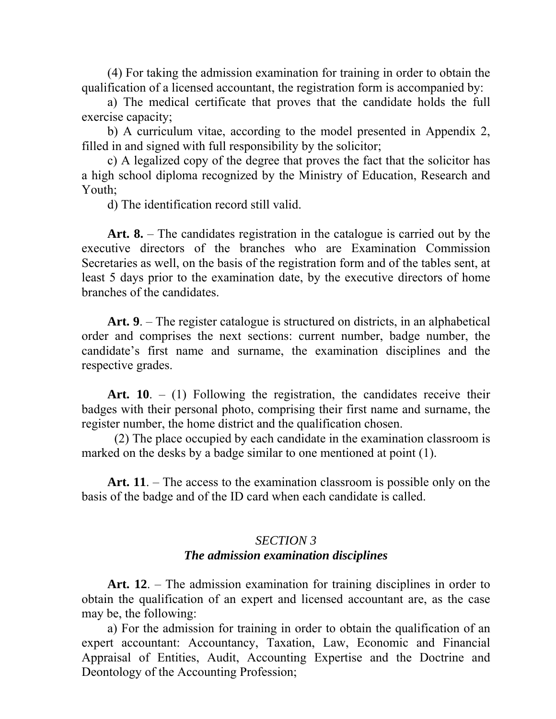(4) For taking the admission examination for training in order to obtain the qualification of a licensed accountant, the registration form is accompanied by:

a) The medical certificate that proves that the candidate holds the full exercise capacity;

b) A curriculum vitae, according to the model presented in Appendix 2, filled in and signed with full responsibility by the solicitor;

c) A legalized copy of the degree that proves the fact that the solicitor has a high school diploma recognized by the Ministry of Education, Research and Youth;

d) The identification record still valid.

**Art. 8.** – The candidates registration in the catalogue is carried out by the executive directors of the branches who are Examination Commission Secretaries as well, on the basis of the registration form and of the tables sent, at least 5 days prior to the examination date, by the executive directors of home branches of the candidates.

**Art. 9**. – The register catalogue is structured on districts, in an alphabetical order and comprises the next sections: current number, badge number, the candidate's first name and surname, the examination disciplines and the respective grades.

Art. 10. – (1) Following the registration, the candidates receive their badges with their personal photo, comprising their first name and surname, the register number, the home district and the qualification chosen.

 (2) The place occupied by each candidate in the examination classroom is marked on the desks by a badge similar to one mentioned at point (1).

**Art. 11**. – The access to the examination classroom is possible only on the basis of the badge and of the ID card when each candidate is called.

### *SECTION 3 The admission examination disciplines*

**Art. 12**. – The admission examination for training disciplines in order to obtain the qualification of an expert and licensed accountant are, as the case may be, the following:

a) For the admission for training in order to obtain the qualification of an expert accountant: Accountancy, Taxation, Law, Economic and Financial Appraisal of Entities, Audit, Accounting Expertise and the Doctrine and Deontology of the Accounting Profession;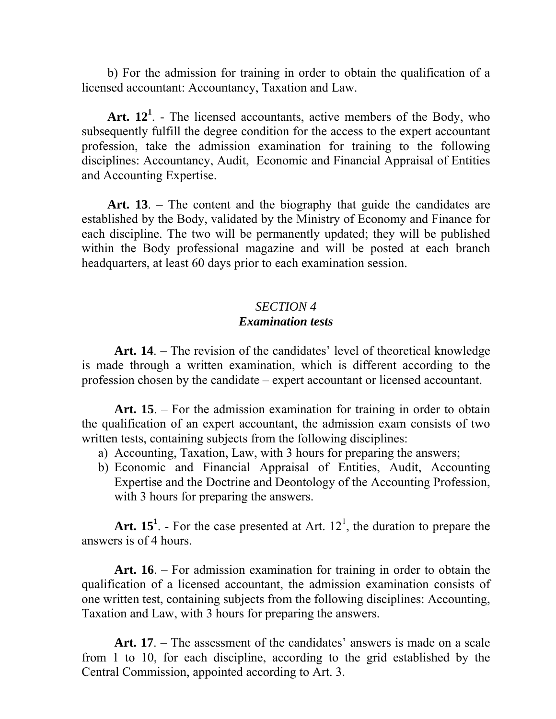b) For the admission for training in order to obtain the qualification of a licensed accountant: Accountancy, Taxation and Law.

Art.  $12<sup>1</sup>$ . - The licensed accountants, active members of the Body, who subsequently fulfill the degree condition for the access to the expert accountant profession, take the admission examination for training to the following disciplines: Accountancy, Audit, Economic and Financial Appraisal of Entities and Accounting Expertise.

Art. 13. – The content and the biography that guide the candidates are established by the Body, validated by the Ministry of Economy and Finance for each discipline. The two will be permanently updated; they will be published within the Body professional magazine and will be posted at each branch headquarters, at least 60 days prior to each examination session.

### *SECTION 4 Examination tests*

**Art. 14**. – The revision of the candidates' level of theoretical knowledge is made through a written examination, which is different according to the profession chosen by the candidate – expert accountant or licensed accountant.

**Art. 15**. – For the admission examination for training in order to obtain the qualification of an expert accountant, the admission exam consists of two written tests, containing subjects from the following disciplines:

- a) Accounting, Taxation, Law, with 3 hours for preparing the answers;
- b) Economic and Financial Appraisal of Entities, Audit, Accounting Expertise and the Doctrine and Deontology of the Accounting Profession, with 3 hours for preparing the answers.

Art.  $15<sup>1</sup>$ . - For the case presented at Art.  $12<sup>1</sup>$ , the duration to prepare the answers is of 4 hours.

**Art. 16**. – For admission examination for training in order to obtain the qualification of a licensed accountant, the admission examination consists of one written test, containing subjects from the following disciplines: Accounting, Taxation and Law, with 3 hours for preparing the answers.

Art. 17. – The assessment of the candidates' answers is made on a scale from 1 to 10, for each discipline, according to the grid established by the Central Commission, appointed according to Art. 3.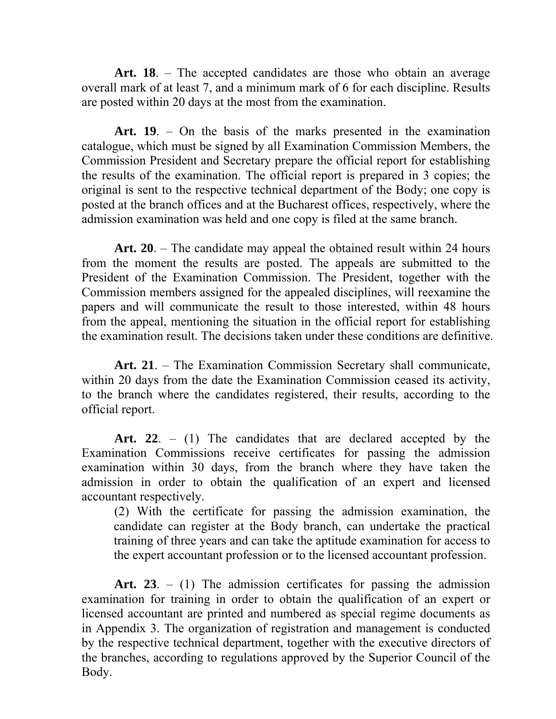**Art. 18**. – The accepted candidates are those who obtain an average overall mark of at least 7, and a minimum mark of 6 for each discipline. Results are posted within 20 days at the most from the examination.

**Art. 19**. – On the basis of the marks presented in the examination catalogue, which must be signed by all Examination Commission Members, the Commission President and Secretary prepare the official report for establishing the results of the examination. The official report is prepared in 3 copies; the original is sent to the respective technical department of the Body; one copy is posted at the branch offices and at the Bucharest offices, respectively, where the admission examination was held and one copy is filed at the same branch.

**Art. 20**. – The candidate may appeal the obtained result within 24 hours from the moment the results are posted. The appeals are submitted to the President of the Examination Commission. The President, together with the Commission members assigned for the appealed disciplines, will reexamine the papers and will communicate the result to those interested, within 48 hours from the appeal, mentioning the situation in the official report for establishing the examination result. The decisions taken under these conditions are definitive.

**Art. 21**. – The Examination Commission Secretary shall communicate, within 20 days from the date the Examination Commission ceased its activity, to the branch where the candidates registered, their results, according to the official report.

**Art. 22**. – (1) The candidates that are declared accepted by the Examination Commissions receive certificates for passing the admission examination within 30 days, from the branch where they have taken the admission in order to obtain the qualification of an expert and licensed accountant respectively.

 (2) With the certificate for passing the admission examination, the candidate can register at the Body branch, can undertake the practical training of three years and can take the aptitude examination for access to the expert accountant profession or to the licensed accountant profession.

**Art. 23**. – (1) The admission certificates for passing the admission examination for training in order to obtain the qualification of an expert or licensed accountant are printed and numbered as special regime documents as in Appendix 3. The organization of registration and management is conducted by the respective technical department, together with the executive directors of the branches, according to regulations approved by the Superior Council of the Body.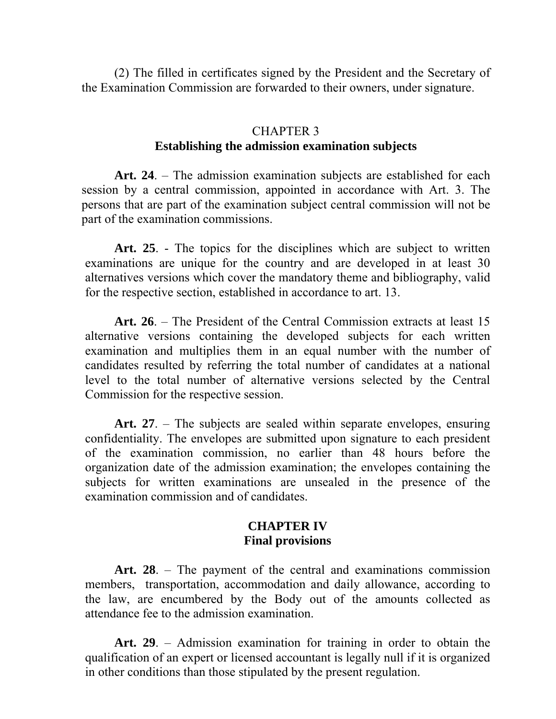(2) The filled in certificates signed by the President and the Secretary of the Examination Commission are forwarded to their owners, under signature.

## CHAPTER 3 **Establishing the admission examination subjects**

**Art. 24**. – The admission examination subjects are established for each session by a central commission, appointed in accordance with Art. 3. The persons that are part of the examination subject central commission will not be part of the examination commissions.

**Art. 25**. - The topics for the disciplines which are subject to written examinations are unique for the country and are developed in at least 30 alternatives versions which cover the mandatory theme and bibliography, valid for the respective section, established in accordance to art. 13.

**Art. 26**. – The President of the Central Commission extracts at least 15 alternative versions containing the developed subjects for each written examination and multiplies them in an equal number with the number of candidates resulted by referring the total number of candidates at a national level to the total number of alternative versions selected by the Central Commission for the respective session.

**Art. 27**. – The subjects are sealed within separate envelopes, ensuring confidentiality. The envelopes are submitted upon signature to each president of the examination commission, no earlier than 48 hours before the organization date of the admission examination; the envelopes containing the subjects for written examinations are unsealed in the presence of the examination commission and of candidates.

#### **CHAPTER IV Final provisions**

**Art. 28**. – The payment of the central and examinations commission members, transportation, accommodation and daily allowance, according to the law, are encumbered by the Body out of the amounts collected as attendance fee to the admission examination.

**Art. 29**. – Admission examination for training in order to obtain the qualification of an expert or licensed accountant is legally null if it is organized in other conditions than those stipulated by the present regulation.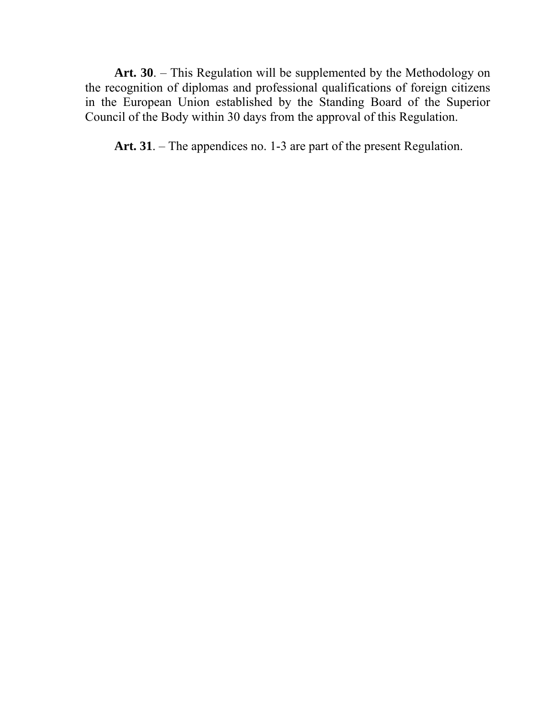**Art. 30**. – This Regulation will be supplemented by the Methodology on the recognition of diplomas and professional qualifications of foreign citizens in the European Union established by the Standing Board of the Superior Council of the Body within 30 days from the approval of this Regulation.

**Art. 31**. – The appendices no. 1-3 are part of the present Regulation.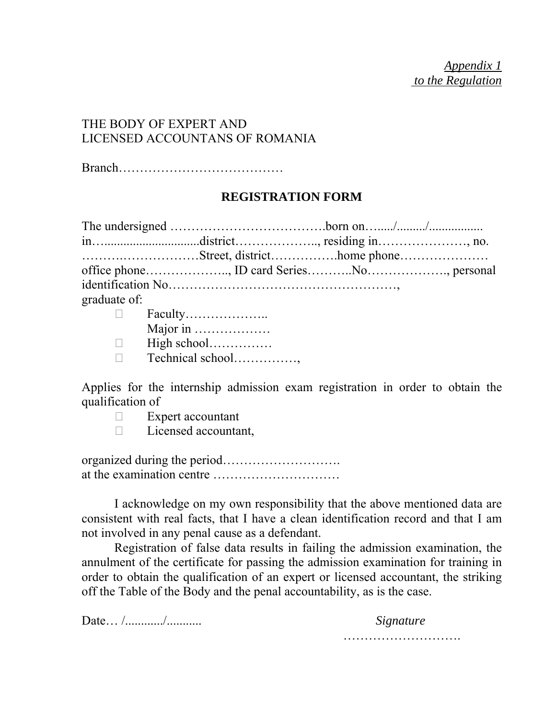*Appendix 1 to the Regulation*

# THE BODY OF EXPERT AND LICENSED ACCOUNTANS OF ROMANIA

Branch…………………………………

#### **REGISTRATION FORM**

|                                                                                                                                                                                                                                                                                                                                           | Street, districthome phone |  |
|-------------------------------------------------------------------------------------------------------------------------------------------------------------------------------------------------------------------------------------------------------------------------------------------------------------------------------------------|----------------------------|--|
|                                                                                                                                                                                                                                                                                                                                           |                            |  |
|                                                                                                                                                                                                                                                                                                                                           |                            |  |
| graduate of:                                                                                                                                                                                                                                                                                                                              |                            |  |
|                                                                                                                                                                                                                                                                                                                                           |                            |  |
| $\mathbf{M}$ , $\mathbf{M}$ , $\mathbf{M}$ , $\mathbf{M}$ , $\mathbf{M}$ , $\mathbf{M}$ , $\mathbf{M}$ , $\mathbf{M}$ , $\mathbf{M}$ , $\mathbf{M}$ , $\mathbf{M}$ , $\mathbf{M}$ , $\mathbf{M}$ , $\mathbf{M}$ , $\mathbf{M}$ , $\mathbf{M}$ , $\mathbf{M}$ , $\mathbf{M}$ , $\mathbf{M}$ , $\mathbf{M}$ , $\mathbf{M}$ , $\mathbf{M}$ , |                            |  |

|        | $\Gamma$ avuity         |
|--------|-------------------------|
|        | Major in                |
| $\Box$ |                         |
|        | $\Box$ Technical school |

Applies for the internship admission exam registration in order to obtain the qualification of

- $\Box$  Expert accountant
- D Licensed accountant,

organized during the period………………………. at the examination centre …………………………

 I acknowledge on my own responsibility that the above mentioned data are consistent with real facts, that I have a clean identification record and that I am not involved in any penal cause as a defendant.

 Registration of false data results in failing the admission examination, the annulment of the certificate for passing the admission examination for training in order to obtain the qualification of an expert or licensed accountant, the striking off the Table of the Body and the penal accountability, as is the case.

Date… /............/........... *Signature*

……………………….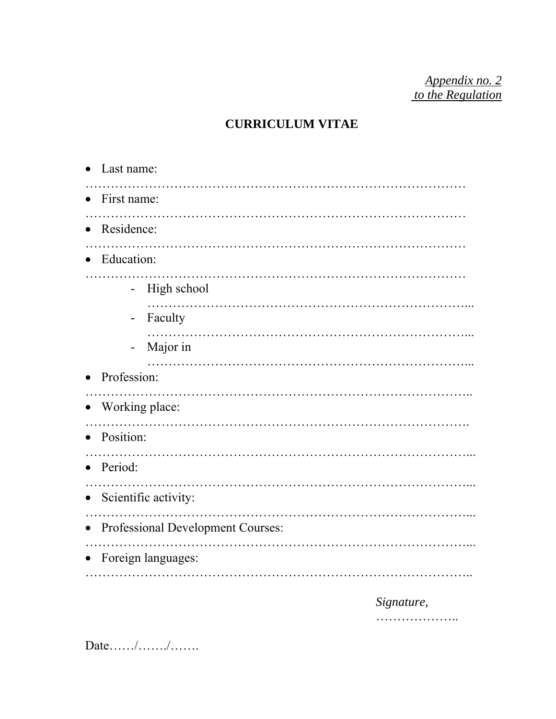*Appendix no. 2 to the Regulation*

# **CURRICULUM VITAE**

| Last name:                              |  |  |
|-----------------------------------------|--|--|
| First name:                             |  |  |
| Residence:                              |  |  |
| Education:                              |  |  |
| High school<br>$\blacksquare$           |  |  |
| Faculty<br>$\qquad \qquad \blacksquare$ |  |  |
| Major in                                |  |  |
| Profession:                             |  |  |
| Working place:                          |  |  |
| Position:                               |  |  |
| Period:                                 |  |  |
| Scientific activity:                    |  |  |
| Professional Development Courses:       |  |  |
| Foreign languages:                      |  |  |
|                                         |  |  |

*Signature,* 

………………..

Date……/……./…….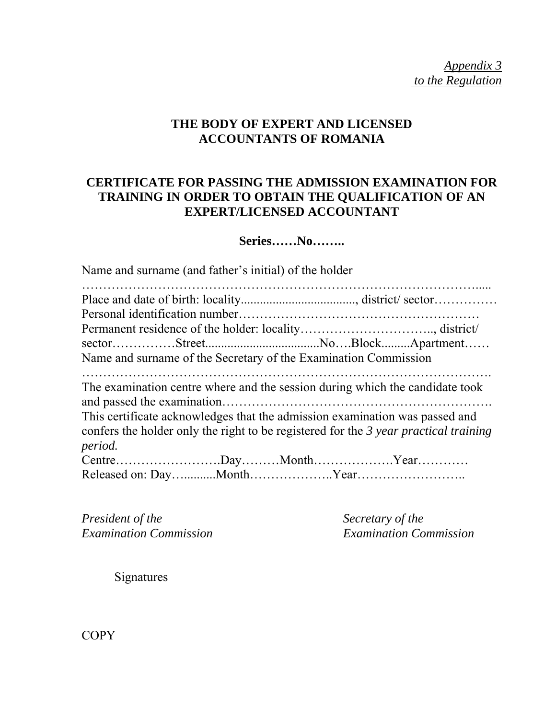*Appendix 3 to the Regulation*

# **THE BODY OF EXPERT AND LICENSED ACCOUNTANTS OF ROMANIA**

# **CERTIFICATE FOR PASSING THE ADMISSION EXAMINATION FOR TRAINING IN ORDER TO OBTAIN THE QUALIFICATION OF AN EXPERT/LICENSED ACCOUNTANT**

### **Series……No……..**

Name and surname (and father's initial) of the holder

| Name and surname of the Secretary of the Examination Commission                                                                                                                                                                                                |
|----------------------------------------------------------------------------------------------------------------------------------------------------------------------------------------------------------------------------------------------------------------|
| The examination centre where and the session during which the candidate took<br>This certificate acknowledges that the admission examination was passed and<br>confers the holder only the right to be registered for the 3 year practical training<br>period. |
|                                                                                                                                                                                                                                                                |
|                                                                                                                                                                                                                                                                |

*President of the* Secretary of the Secretary of the Examination Commission

*Examination Commission Examination Commission* 

Signatures

**COPY**